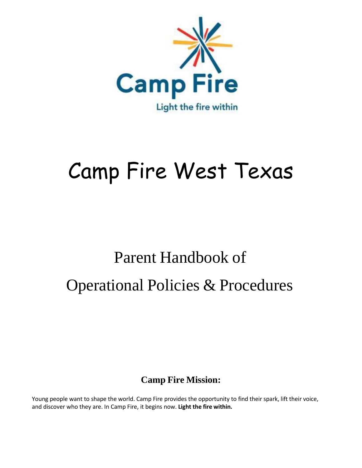

# Camp Fire West Texas

## Parent Handbook of Operational Policies & Procedures

**Camp Fire Mission:**

Young people want to shape the world. Camp Fire provides the opportunity to find their spark, lift their voice, and discover who they are. In Camp Fire, it begins now. **Light the fire within.**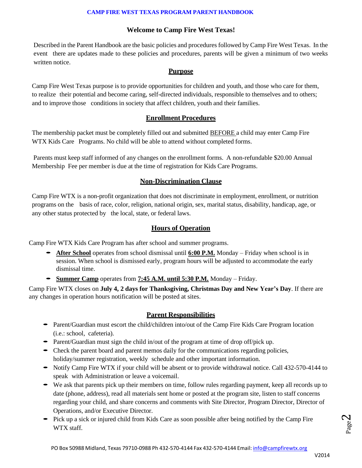#### **Welcome to Camp Fire West Texas!**

Described in the Parent Handbook are the basic policies and procedures followed by Camp Fire West Texas. In the event there are updates made to these policies and procedures, parents will be given a minimum of two weeks written notice.

#### **Purpose**

Camp Fire West Texas purpose is to provide opportunities for children and youth, and those who care for them, to realize their potential and become caring, self-directed individuals, responsible to themselves and to others; and to improve those conditions in society that affect children, youth and their families.

#### **Enrollment Procedures**

The membership packet must be completely filled out and submitted **BEFORE** a child may enter Camp Fire WTX Kids Care Programs. No child will be able to attend without completed forms.

Parents must keep staff informed of any changes on the enrollment forms. A non-refundable \$20.00 Annual Membership Fee per member is due at the time of registration for Kids Care Programs.

#### **Non-Discrimination Clause**

Camp Fire WTX is a non-profit organization that does not discriminate in employment, enrollment, or nutrition programs on the basis of race, color, religion, national origin, sex, marital status, disability, handicap, age, or any other status protected by the local, state, or federal laws.

#### **Hours of Operation**

Camp Fire WTX Kids Care Program has after school and summer programs.

- **After School** operates from school dismissal until **6:00 P.M.** Monday Friday when school is in session. When school is dismissed early, program hours will be adjusted to accommodate the early dismissal time.
- **Summer Camp** operates from **7:45 A.M. until 5:30 P.M.** Monday Friday.

Camp Fire WTX closes on **July 4, 2 days for Thanksgiving, Christmas Day and New Year's Day**. If there are any changes in operation hours notification will be posted at sites.

#### **Parent Responsibilities**

- Parent/Guardian must escort the child/children into/out of the Camp Fire Kids Care Program location (i.e.: school, cafeteria).
- Parent/Guardian must sign the child in/out of the program at time of drop off/pick up.
- Check the parent board and parent memos daily for the communications regarding policies, holiday/summer registration, weekly schedule and other important information.
- Notify Camp Fire WTX if your child will be absent or to provide withdrawal notice. Call 432-570-4144 to speak with Administration or leave a voicemail.
- We ask that parents pick up their members on time, follow rules regarding payment, keep all records up to date (phone, address), read all materials sent home or posted at the program site, listen to staff concerns regarding your child, and share concerns and comments with Site Director, Program Director, Director of Operations, and/or Executive Director.
- Pick up a sick or injured child from Kids Care as soon possible after being notified by the Camp Fire WTX staff

Page  $\boldsymbol{\sim}$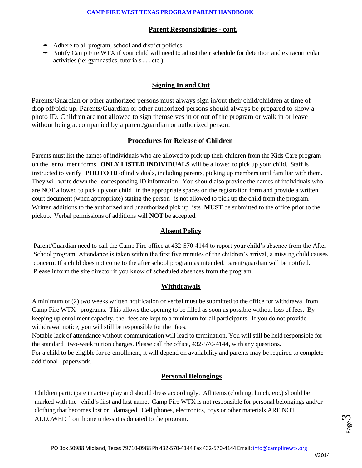#### **Parent Responsibilities - cont.**

- Adhere to all program, school and district policies.
- Notify Camp Fire WTX if your child will need to adjust their schedule for detention and extracurricular activities (ie: gymnastics, tutorials…… etc.)

#### **Signing In and Out**

Parents/Guardian or other authorized persons must always sign in/out their child/children at time of drop off/pick up. Parents/Guardian or other authorized persons should always be prepared to show a photo ID. Children are **not** allowed to sign themselves in or out of the program or walk in or leave without being accompanied by a parent/guardian or authorized person.

#### **Procedures for Release of Children**

Parents must list the names of individuals who are allowed to pick up their children from the Kids Care program on the enrollment forms. **ONLY LISTED INDIVIDUALS** will be allowed to pick up your child. Staff is instructed to verify **PHOTO ID** of individuals, including parents, picking up members until familiar with them. They will write down the corresponding ID information. You should also provide the names of individuals who are NOT allowed to pick up your child in the appropriate spaces on the registration form and provide a written court document (when appropriate) stating the person is not allowed to pick up the child from the program. Written additions to the authorized and unauthorized pick up lists **MUST** be submitted to the office prior to the pickup. Verbal permissions of additions will **NOT** be accepted.

#### **Absent Policy**

Parent/Guardian need to call the Camp Fire office at 432-570-4144 to report your child's absence from the After School program. Attendance is taken within the first five minutes of the children's arrival, a missing child causes concern. If a child does not come to the after school program as intended, parent/guardian will be notified. Please inform the site director if you know of scheduled absences from the program.

#### **Withdrawals**

A minimum of (2) two weeks written notification or verbal must be submitted to the office for withdrawal from Camp Fire WTX programs. This allows the opening to be filled as soon as possible without loss of fees. By keeping up enrollment capacity, the fees are kept to a minimum for all participants. If you do not provide withdrawal notice, you will still be responsible for the fees.

Notable lack of attendance without communication will lead to termination. You will still be held responsible for the standard two-week tuition charges. Please call the office, 432-570-4144, with any questions. For a child to be eligible for re-enrollment, it will depend on availability and parents may be required to complete additional paperwork.

#### **Personal Belongings**

Children participate in active play and should dress accordingly. All items (clothing, lunch, etc.) should be marked with the child's first and last name. Camp Fire WTX is not responsible for personal belongings and/or clothing that becomes lost or damaged. Cell phones, electronics, toys or other materials ARE NOT ALLOWED from home unless it is donated to the program.

Page ო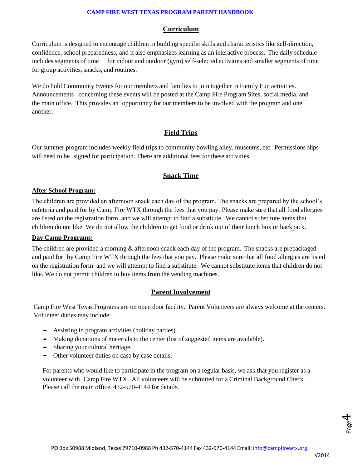#### **Curriculum**

Curriculum is designed to encourage children in building specific skills and characteristics like self-direction, confidence, school preparedness, and it also emphasizes learning as an interactive process. The daily schedule includes segments of time for indoor and outdoor (gym) self-selected activities and smaller segments of time for group activities, snacks, and routines.

We do hold Community Events for our members and families to join together in Family Fun activities. Announcements concerning these events will be posted at the Camp Fire Program Sites, social media, and the main office. This provides an opportunity for our members to be involved with the program and one another.

#### **Field Trips**

Our summer program includes weekly field trips to community bowling alley, museums, etc. Permissions slips will need to be signed for participation. There are additional fees for these activities.

#### **Snack Time**

#### **After School Program:**

The children are provided an afternoon snack each day of the program. The snacks are prepared by the school's cafeteria and paid for by Camp Fire WTX through the fees that you pay. Please make sure that all food allergies are listed on the registration form and we will attempt to find a substitute. We cannot substitute items that children do not like. We do not allow the children to get food or drink out of their lunch box or backpack.

#### **Day Camp Programs:**

The children are provided a morning & afternoon snack each day of the program. The snacks are prepackaged and paid for by Camp Fire WTX through the fees that you pay. Please make sure that all food allergies are listed on the registration form and we will attempt to find a substitute. We cannot substitute items that children do not like. We do not permit children to buy items from the vending machines.

#### **Parent Involvement**

Camp Fire West Texas Programs are on open door facility. Parent Volunteers are always welcome at the centers. Volunteer duties may include:

- Assisting in program activities (holiday parties).
- Making donations of materials to the center (list of suggested items are available).
- Sharing your cultural heritage.
- Other volunteer duties on case by case details.

For parents who would like to participate in the program on a regular basis, we ask that you register as a volunteer with Camp Fire WTX. All volunteers will be submitted for a Criminal Background Check. Please call the main office, 432-570-4144 for details.

Page 4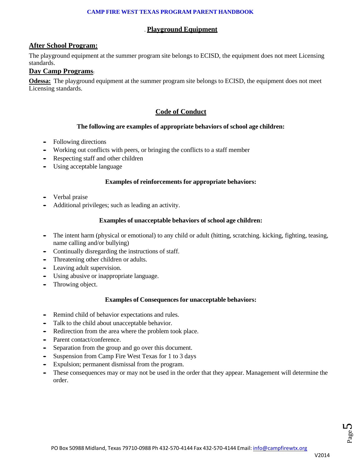#### . **Playground Equipment**

#### **After School Program:**

The playground equipment at the summer program site belongs to ECISD, the equipment does not meet Licensing standards.

#### **Day Camp Programs:**

**Odessa:** The playground equipment at the summer program site belongs to ECISD, the equipment does not meet Licensing standards.

#### **Code of Conduct**

#### **The following are examples of appropriate behaviors of school age children:**

- Following directions
- Working out conflicts with peers, or bringing the conflicts to <sup>a</sup> staff member
- Respecting staff and other children
- Using acceptable language

#### **Examples of reinforcements for appropriate behaviors:**

- Verbal praise
- Additional privileges; such as leading an activity.

#### **Examples of unacceptable behaviors of school age children:**

- The intent harm (physical or emotional) to any child or adult (hitting, scratching. kicking, fighting, teasing, name calling and/or bullying)
- Continually disregarding the instructions of staff.
- Threatening other children or adults.
- Leaving adult supervision.
- Using abusive or inappropriate language.
- Throwing object.

#### **Examples of Consequences for unacceptable behaviors:**

- Remind child of behavior expectations and rules.
- Talk to the child about unacceptable behavior.
- Redirection from the area where the problem took place.
- Parent contact/conference.
- Separation from the group and go over this document.
- Suspension from Camp Fire West Texas for 1 to <sup>3</sup> days
- Expulsion; permanent dismissal from the program.
- These consequences may or may not be used in the order that they appear. Management will determine the order.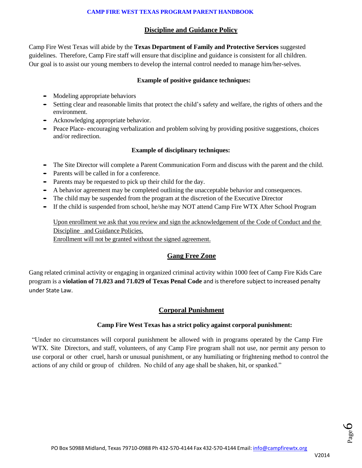#### **Discipline and Guidance Policy**

Camp Fire West Texas will abide by the **Texas Department of Family and Protective Services** suggested guidelines. Therefore, Camp Fire staff will ensure that discipline and guidance is consistent for all children. Our goal is to assist our young members to develop the internal control needed to manage him/her-selves.

#### **Example of positive guidance techniques:**

- Modeling appropriate behaviors
- Setting clear and reasonable limits that protect the child's safety and welfare, the rights of others and the environment.
- Acknowledging appropriate behavior.
- Peace Place- encouraging verbalization and problem solving by providing positive suggestions, choices and/or redirection.

#### **Example of disciplinary techniques:**

- The Site Director will complete a Parent Communication Form and discuss with the parent and the child.
- Parents will be called in for <sup>a</sup> conference.
- Parents may be requested to pick up their child for the day.
- <sup>A</sup> behavior agreement may be completed outlining the unacceptable behavior and consequences.
- The child may be suspended from the program at the discretion of the Executive Director
- If the child is suspended from school, he/she may NOT attend Camp Fire WTX After School Program

Upon enrollment we ask that you review and sign the acknowledgement of the Code of Conduct and the Discipline and Guidance Policies. Enrollment will not be granted without the signed agreement.

#### **Gang Free Zone**

Gang related criminal activity or engaging in organized criminal activity within 1000 feet of Camp Fire Kids Care program is a **violation of 71.023 and 71.029 of Texas Penal Code** and is therefore subject to increased penalty under State Law.

#### **Corporal Punishment**

#### **Camp Fire West Texas has a strict policy against corporal punishment:**

"Under no circumstances will corporal punishment be allowed with in programs operated by the Camp Fire WTX. Site Directors, and staff, volunteers, of any Camp Fire program shall not use, nor permit any person to use corporal or other cruel, harsh or unusual punishment, or any humiliating or frightening method to control the actions of any child or group of children. No child of any age shall be shaken, hit, or spanked."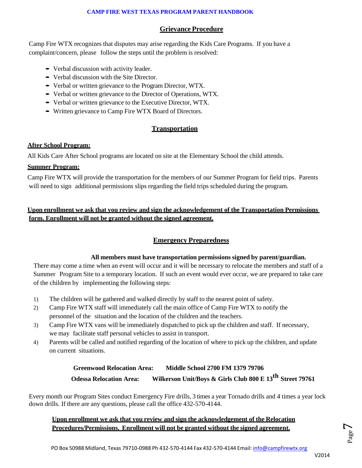#### **Grievance Procedure**

Camp Fire WTX recognizes that disputes may arise regarding the Kids Care Programs. If you have a complaint/concern, please follow the steps until the problem is resolved:

- Verbal discussion with activity leader.
- Verbal discussion with the Site Director.
- Verbal or written grievance to the Program Director, WTX.
- Verbal or written grievance to the Director of Operations, WTX.
- Verbal or written grievance to the Executive Director, WTX.
- Written grievance to Camp Fire WTX Board of Directors.

#### **Transportation**

#### **After School Program:**

All Kids Care After School programs are located on site at the Elementary School the child attends.

#### **Summer Program:**

Camp Fire WTX will provide the transportation for the members of our Summer Program for field trips. Parents will need to sign additional permissions slips regarding the field trips scheduled during the program.

#### **Upon enrollment we ask that you review and sign the acknowledgement of the Transportation Permissions form. Enrollment will not be granted without the signed agreement.**

#### **Emergency Preparedness**

#### **All members must have transportation permissions signed by parent/guardian.**

There may come a time when an event will occur and it will be necessary to relocate the members and staff of a Summer Program Site to a temporary location. If such an event would ever occur, we are prepared to take care of the children by implementing the following steps:

- 1) The children will be gathered and walked directly by staff to the nearest point of safety.
- 2) Camp Fire WTX staff will immediately call the main office of Camp Fire WTX to notify the personnel of the situation and the location of the children and the teachers.
- 3) Camp Fire WTX vans will be immediately dispatched to pick up the children and staff. If necessary, we may facilitate staff personal vehicles to assist in transport.
- 4) Parents will be called and notified regarding of the location of where to pick up the children, and update on current situations.

### **Greenwood Relocation Area: Middle School 2700 FM 1379 79706 Odessa Relocation Area: Wilkerson Unit/Boys & Girls Club 800 <sup>E</sup> <sup>13</sup>th Street <sup>79761</sup>**

Every month our Program Sites conduct Emergency Fire drills, 3 times a year Tornado drills and 4 times a year lock down drills. If there are any questions, please call the office 432-570-4144.

#### **Upon enrollment we ask that you review and sign the acknowledgement of the Relocation Procedures/Permissions. Enrollment will not be granted without the signed agreement.**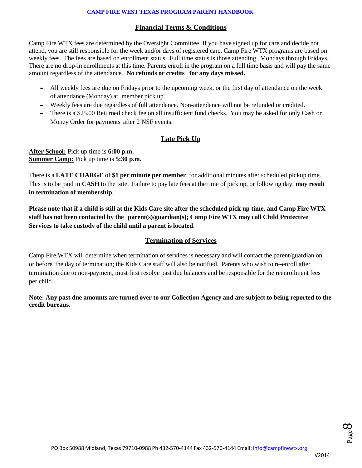#### **Financial Terms & Conditions**

Camp Fire WTX fees are determined by the Oversight Committee. If you have signed up for care and decide not attend, you are still responsible for the week and/or days of registered care. Camp Fire WTX programs are based on weekly fees. The fees are based on enrollment status. Full time status is those attending Mondays through Fridays. There are no drop-in enrollments at this time. Parents enroll in the program on a full time basis and will pay the same amount regardless of the attendance. **No refunds or credits for any days missed.**

- All weekly fees are due on Fridays prior to the upcoming week, or the first day of attendance on the week of attendance (Monday) at member pick up.
- Weekly fees are due regardless of full attendance. Non-attendance will not be refunded or credited.
- There is a \$25.00 Returned check fee on all insufficient fund checks. You may be asked for only Cash or Money Order for payments after 2 NSF events.

#### **Late Pick Up**

**After School:** Pick up time is **6:00 p.m. Summer Camp:** Pick up time is **5:30 p.m.**

There is a **LATE CHARGE** of **\$1 per minute per member**, for additional minutes after scheduled pickup time. This is to be paid in **CASH** to the site. Failure to pay late fees at the time of pick up, or following day, **may result in termination of membership**.

Please note that if a child is still at the Kids Care site after the scheduled pick up time, and Camp Fire WTX **staff has not been contacted by the parent(s)/guardian(s); Camp Fire WTX may call Child Protective Services to take custody of the child until a parent is located**.

#### **Termination of Services**

Camp Fire WTX will determine when termination of services is necessary and will contact the parent/guardian on or before the day of termination; the Kids Care staff will also be notified. Parents who wish to re-enroll after termination due to non-payment, must first resolve past due balances and be responsible for the reenrollment fees per child.

Note: Any past due amounts are turned over to our Collection Agency and are subject to being reported to the **credit bureaus.**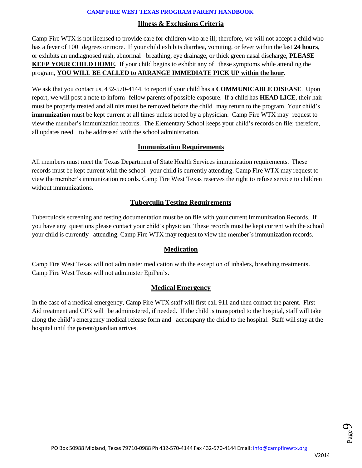#### **Illness & Exclusions Criteria**

Camp Fire WTX is not licensed to provide care for children who are ill; therefore, we will not accept a child who has a fever of 100 degrees or more. If your child exhibits diarrhea, vomiting, or fever within the last **24 hours**, or exhibits an undiagnosed rash, abnormal breathing, eye drainage, or thick green nasal discharge, **PLEASE KEEP YOUR CHILD HOME**. If your child begins to exhibit any of these symptoms while attending the program, **YOU WILL BE CALLED to ARRANGE IMMEDIATE PICK UP within the hour**.

We ask that you contact us, 432-570-4144, to report if your child has a **COMMUNICABLE DISEASE**. Upon report, we will post a note to inform fellow parents of possible exposure. If a child has **HEAD LICE**, their hair must be properly treated and all nits must be removed before the child may return to the program. Your child's **immunization** must be kept current at all times unless noted by a physician. Camp Fire WTX may request to view the member's immunization records. The Elementary School keeps your child's records on file; therefore, all updates need to be addressed with the school administration.

#### **Immunization Requirements**

All members must meet the Texas Department of State Health Services immunization requirements. These records must be kept current with the school your child is currently attending. Camp Fire WTX may request to view the member's immunization records. Camp Fire West Texas reserves the right to refuse service to children without immunizations.

#### **Tuberculin Testing Requirements**

Tuberculosis screening and testing documentation must be on file with your current Immunization Records. If you have any questions please contact your child's physician. These records must be kept current with the school your child is currently attending. Camp Fire WTX may request to view the member's immunization records.

#### **Medication**

Camp Fire West Texas will not administer medication with the exception of inhalers, breathing treatments. Camp Fire West Texas will not administer EpiPen's.

#### **Medical Emergency**

In the case of a medical emergency, Camp Fire WTX staff will first call 911 and then contact the parent. First Aid treatment and CPR will be administered, if needed. If the child is transported to the hospital, staff will take along the child's emergency medical release form and accompany the child to the hospital. Staff will stay at the hospital until the parent/guardian arrives.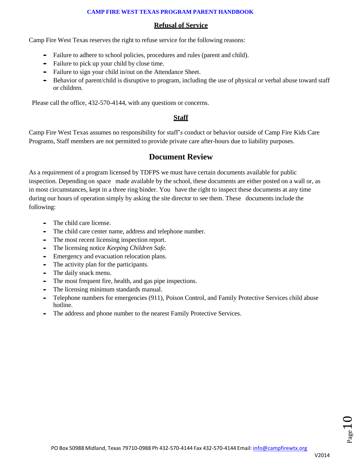#### **Refusal of Service**

Camp Fire West Texas reserves the right to refuse service for the following reasons:

- Failure to adhere to school policies, procedures and rules (parent and child).
- Failure to pick up your child by close time.
- Failure to sign your child in/out on the Attendance Sheet.
- Behavior of parent/child is disruptive to program, including the use of physical or verbal abuse toward staff or children.

Please call the office, 432-570-4144, with any questions or concerns.

#### **Staff**

Camp Fire West Texas assumes no responsibility for staff's conduct or behavior outside of Camp Fire Kids Care Programs, Staff members are not permitted to provide private care after-hours due to liability purposes.

#### **Document Review**

As a requirement of a program licensed by TDFPS we must have certain documents available for public inspection. Depending on space made available by the school, these documents are either posted on a wall or, as in most circumstances, kept in a three ring binder. You have the right to inspect these documents at any time during our hours of operation simply by asking the site director to see them. These documents include the following:

- The child care license.
- The child care center name, address and telephone number.
- The most recent licensing inspection report.
- The licensing notice *Keeping Children Safe.*
- Emergency and evacuation relocation plans.
- The activity plan for the participants.
- The daily snack menu.
- The most frequent fire, health, and gas pipe inspections.
- The licensing minimum standards manual.
- Telephone numbers for emergencies (911), Poison Control, and Family Protective Services child abuse hotline.
- The address and phone number to the nearest Family Protective Services.